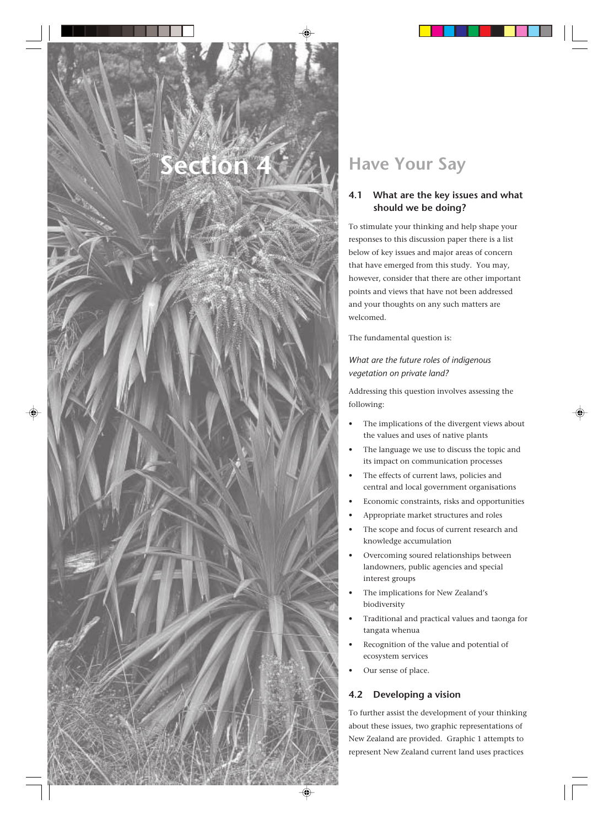# **Have Your Say**

## **4.1 What are the key issues and what should we be doing?**

To stimulate your thinking and help shape your responses to this discussion paper there is a list below of key issues and major areas of concern that have emerged from this study. You may, however, consider that there are other important points and views that have not been addressed and your thoughts on any such matters are welcomed.

The fundamental question is:

*What are the future roles of indigenous vegetation on private land?*

Addressing this question involves assessing the following:

- The implications of the divergent views about the values and uses of native plants
- The language we use to discuss the topic and its impact on communication processes
- The effects of current laws, policies and central and local government organisations
- Economic constraints, risks and opportunities
- Appropriate market structures and roles
- The scope and focus of current research and knowledge accumulation
- Overcoming soured relationships between landowners, public agencies and special interest groups
- The implications for New Zealand's biodiversity
- Traditional and practical values and taonga for tangata whenua
- Recognition of the value and potential of ecosystem services
- Our sense of place.

# **4.2 Developing a vision**

To further assist the development of your thinking about these issues, two graphic representations of New Zealand are provided. Graphic 1 attempts to represent New Zealand current land uses practices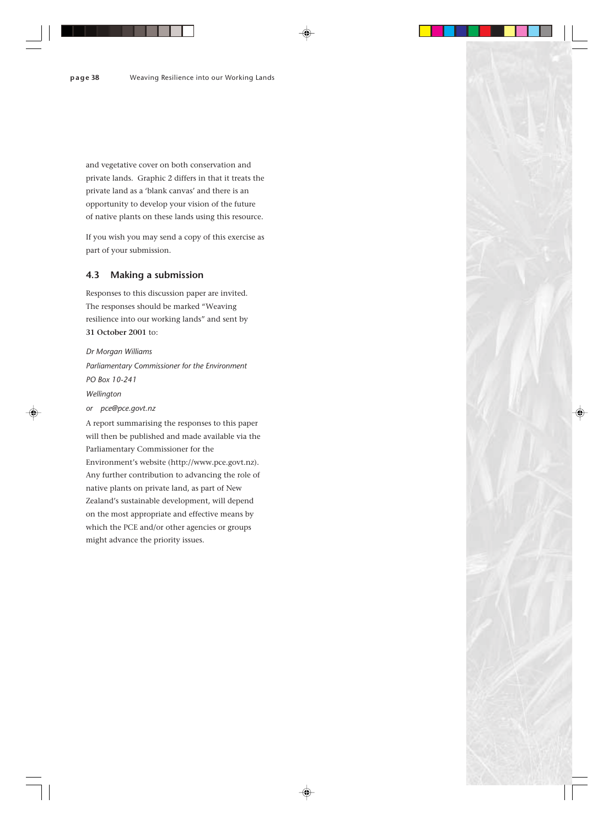and vegetative cover on both conservation and private lands. Graphic 2 differs in that it treats the private land as a 'blank canvas' and there is an opportunity to develop your vision of the future of native plants on these lands using this resource.

If you wish you may send a copy of this exercise as part of your submission.

### **4.3 Making a submission**

Responses to this discussion paper are invited. The responses should be marked "Weaving resilience into our working lands" and sent by **31 October 2001** to:

#### *Dr Morgan Williams*

*Parliamentary Commissioner for the Environment PO Box 10-241 Wellington or pce@pce.govt.nz* A report summarising the responses to this paper

will then be published and made available via the Parliamentary Commissioner for the Environment's website (http://www.pce.govt.nz). Any further contribution to advancing the role of native plants on private land, as part of New Zealand's sustainable development, will depend on the most appropriate and effective means by which the PCE and/or other agencies or groups might advance the priority issues.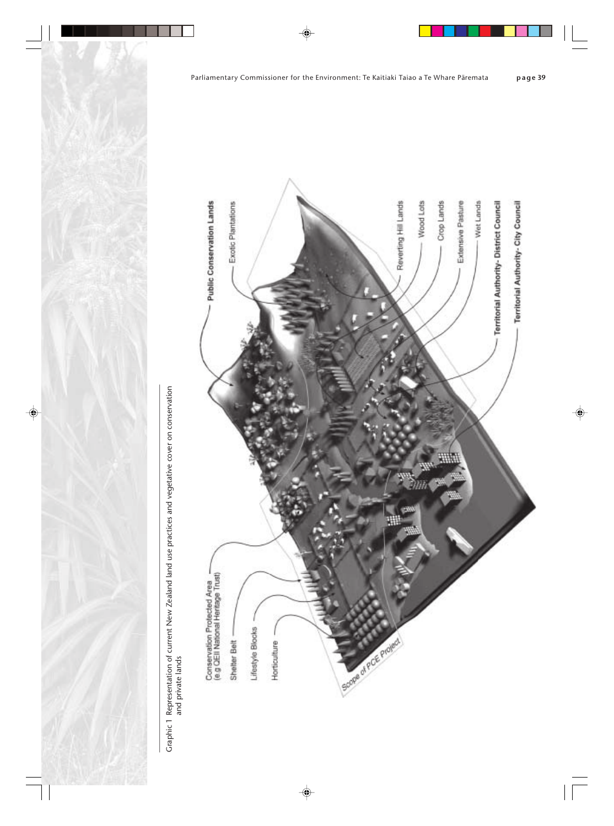

Graphic 1 Representation of current New Zealand land use practices and vegetative cover on conservation<br>and private lands Graphic 1Representation of current New Zealand land use practices and vegetative cover on conservation and private lands